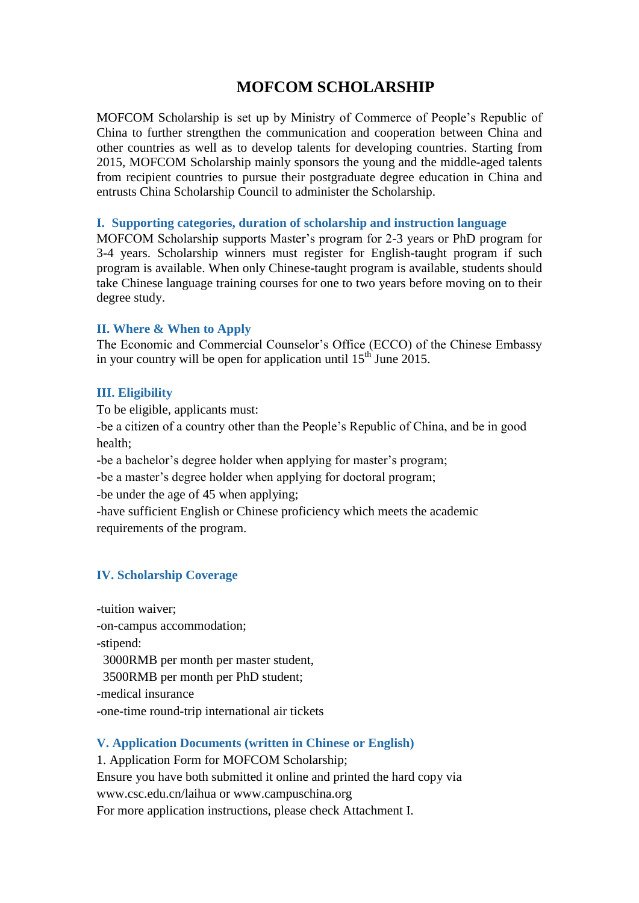## **MOFCOM SCHOLARSHIP**

MOFCOM Scholarship is set up by Ministry of Commerce of People's Republic of China to further strengthen the communication and cooperation between China and other countries as well as to develop talents for developing countries. Starting from 2015, MOFCOM Scholarship mainly sponsors the young and the middle-aged talents from recipient countries to pursue their postgraduate degree education in China and entrusts China Scholarship Council to administer the Scholarship.

#### **I. Supporting categories, duration of scholarship and instruction language**

MOFCOM Scholarship supports Master's program for 2-3 years or PhD program for 3-4 years. Scholarship winners must register for English-taught program if such program is available. When only Chinese-taught program is available, students should take Chinese language training courses for one to two years before moving on to their degree study.

#### **II. Where & When to Apply**

The Economic and Commercial Counselor's Office (ECCO) of the Chinese Embassy in your country will be open for application until  $15<sup>th</sup>$  June 2015.

#### **III. Eligibility**

To be eligible, applicants must:

-be a citizen of a country other than the People's Republic of China, and be in good health;

-be a bachelor's degree holder when applying for master's program;

-be a master's degree holder when applying for doctoral program;

-be under the age of 45 when applying;

-have sufficient English or Chinese proficiency which meets the academic requirements of the program.

#### **IV. Scholarship Coverage**

-tuition waiver;

-on-campus accommodation;

-stipend:

3000RMB per month per master student,

3500RMB per month per PhD student;

-medical insurance

-one-time round-trip international air tickets

#### **V. Application Documents (written in Chinese or English)**

1. Application Form for MOFCOM Scholarship;

Ensure you have both submitted it online and printed the hard copy via [www.csc.edu.cn/laihua or www.campuschina.org](http://www.csc.edu.cn/laihua%20or%20www.campuschina.org) For more application instructions, please check Attachment I.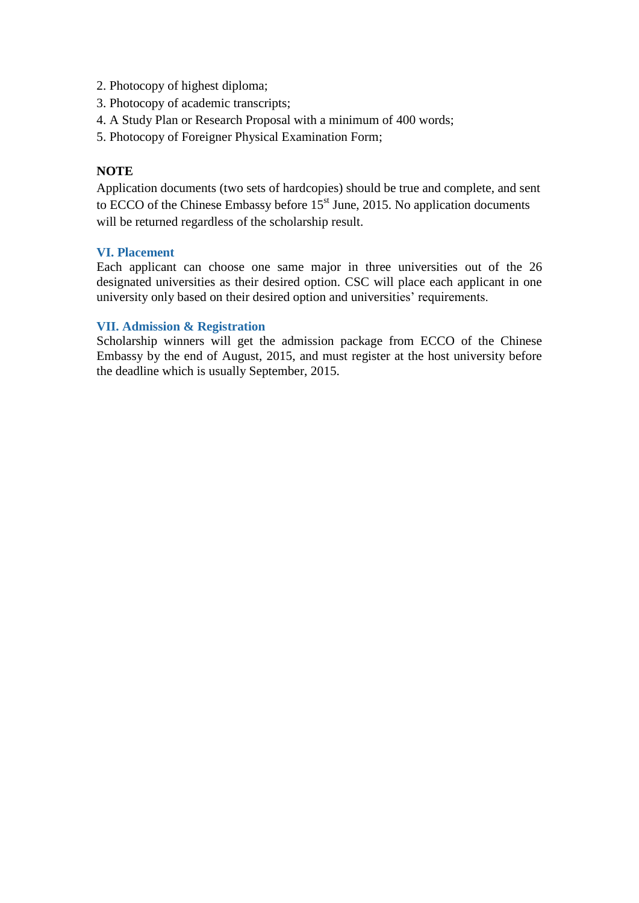- 2. Photocopy of highest diploma;
- 3. Photocopy of academic transcripts;
- 4. A Study Plan or Research Proposal with a minimum of 400 words;
- 5. [Photocopy of Foreigner Physical Examination Form;](http://www.csc.edu.cn/laihua/upload/file/20150202/20150202164426_3209.pdf)

#### **NOTE**

Application documents (two sets of hardcopies) should be true and complete, and sent to ECCO of the Chinese Embassy before  $15<sup>st</sup>$  June, 2015. No application documents will be returned regardless of the scholarship result.

#### **VI. Placement**

Each applicant can choose one same major in three universities out of the 26 designated universities as their desired option. CSC will place each applicant in one university only based on their desired option and universities' requirements.

#### **VII. Admission & Registration**

Scholarship winners will get the admission package from ECCO of the Chinese Embassy by the end of August, 2015, and must register at the host university before the deadline which is usually September, 2015.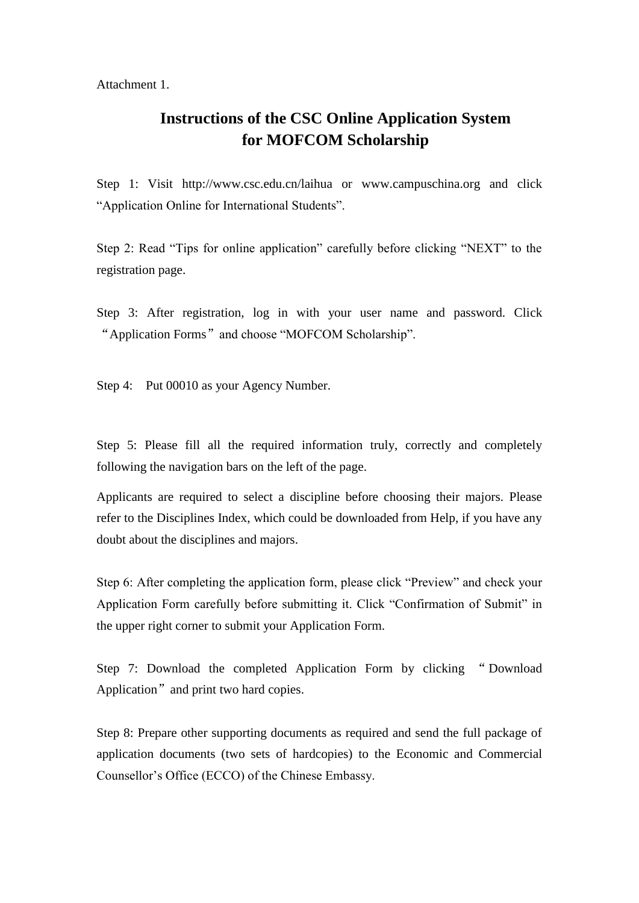Attachment 1.

## **Instructions of the CSC Online Application System for MOFCOM Scholarship**

Step 1: Visit <http://www.csc.edu.cn/laihua> or [www.campuschina.org](http://www.campuschina.org/) and click "Application Online for International Students".

Step 2: Read "Tips for online application" carefully before clicking "NEXT" to the registration page.

Step 3: After registration, log in with your user name and password. Click "Application Forms" and choose "MOFCOM Scholarship".

Step 4: Put 00010 as your Agency Number.

Step 5: Please fill all the required information truly, correctly and completely following the navigation bars on the left of the page.

Applicants are required to select a discipline before choosing their majors. Please refer to the Disciplines Index, which could be downloaded from Help, if you have any doubt about the disciplines and majors.

Step 6: After completing the application form, please click "Preview" and check your Application Form carefully before submitting it. Click "Confirmation of Submit" in the upper right corner to submit your Application Form.

Step 7: Download the completed Application Form by clicking " Download Application" and print two hard copies.

Step 8: Prepare other supporting documents as required and send the full package of application documents (two sets of hardcopies) to the Economic and Commercial Counsellor's Office (ECCO) of the Chinese Embassy.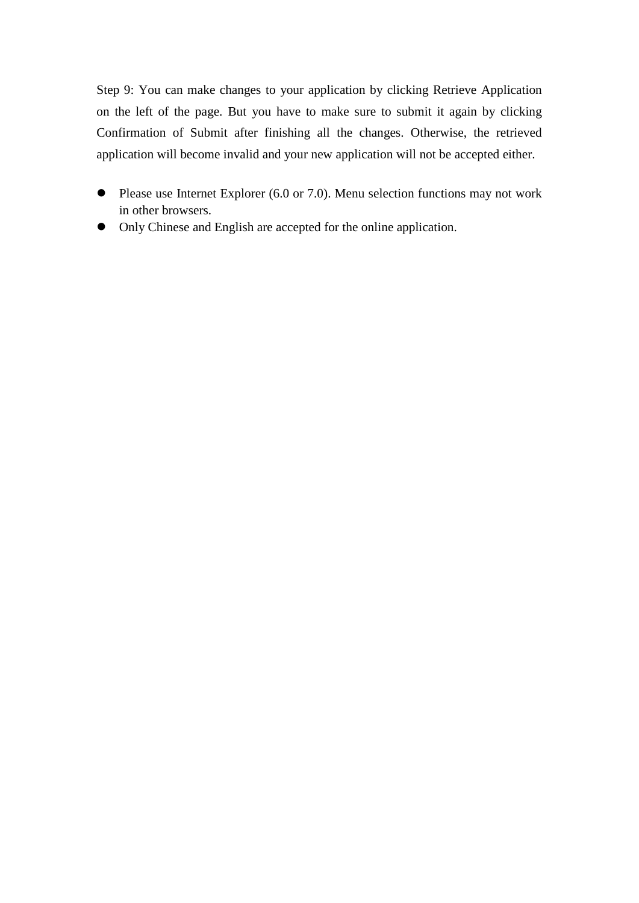Step 9: You can make changes to your application by clicking Retrieve Application on the left of the page. But you have to make sure to submit it again by clicking Confirmation of Submit after finishing all the changes. Otherwise, the retrieved application will become invalid and your new application will not be accepted either.

- Please use Internet Explorer (6.0 or 7.0). Menu selection functions may not work in other browsers.
- Only Chinese and English are accepted for the online application.